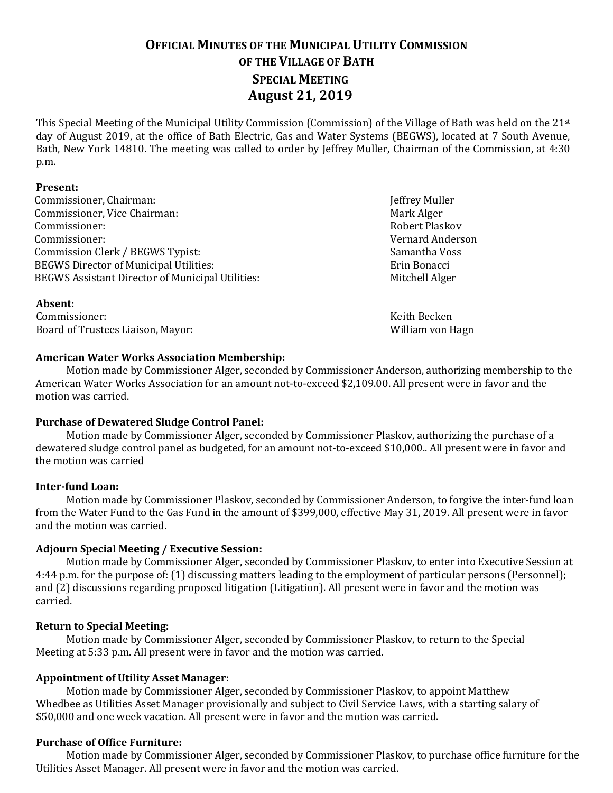## **OFFICIAL MINUTES OF THE MUNICIPAL UTILITY COMMISSION**

## **OF THE VILLAGE OF BATH**

# **SPECIAL MEETING August 21, 2019**

This Special Meeting of the Municipal Utility Commission (Commission) of the Village of Bath was held on the 21st day of August 2019, at the office of Bath Electric, Gas and Water Systems (BEGWS), located at 7 South Avenue, Bath, New York 14810. The meeting was called to order by Jeffrey Muller, Chairman of the Commission, at 4:30 p.m.

#### **Present:**

Commissioner, Chairman: Jeffrey Muller Commissioner, Vice Chairman: Mark Alger Mark Alger Commissioner: Robert Plaskov Commissioner: Vernard Anderson Commission Clerk / BEGWS Typist: Samantha Voss BEGWS Director of Municipal Utilities: Erin Bonacci BEGWS Assistant Director of Municipal Utilities: Mitchell Alger

#### **Absent:**

Commissioner: Keith Becken (Keith Becken (Keith Becken (Keith Becken (Keith Becken (Keith Becken (Keith Becken (Keith Becken (Keith Becken (Keith Becken (Keith Becken (Keith Becken (Keith Becken (Keith Becken (Keith Becken Board of Trustees Liaison, Mayor: William von Hagn

## **American Water Works Association Membership:**

Motion made by Commissioner Alger, seconded by Commissioner Anderson, authorizing membership to the American Water Works Association for an amount not-to-exceed \$2,109.00. All present were in favor and the motion was carried.

#### **Purchase of Dewatered Sludge Control Panel:**

Motion made by Commissioner Alger, seconded by Commissioner Plaskov, authorizing the purchase of a dewatered sludge control panel as budgeted, for an amount not-to-exceed \$10,000.. All present were in favor and the motion was carried

#### **Inter-fund Loan:**

Motion made by Commissioner Plaskov, seconded by Commissioner Anderson, to forgive the inter-fund loan from the Water Fund to the Gas Fund in the amount of \$399,000, effective May 31, 2019. All present were in favor and the motion was carried.

#### **Adjourn Special Meeting / Executive Session:**

Motion made by Commissioner Alger, seconded by Commissioner Plaskov, to enter into Executive Session at 4:44 p.m. for the purpose of: (1) discussing matters leading to the employment of particular persons (Personnel); and (2) discussions regarding proposed litigation (Litigation). All present were in favor and the motion was carried.

#### **Return to Special Meeting:**

Motion made by Commissioner Alger, seconded by Commissioner Plaskov, to return to the Special Meeting at 5:33 p.m. All present were in favor and the motion was carried.

## **Appointment of Utility Asset Manager:**

Motion made by Commissioner Alger, seconded by Commissioner Plaskov, to appoint Matthew Whedbee as Utilities Asset Manager provisionally and subject to Civil Service Laws, with a starting salary of \$50,000 and one week vacation. All present were in favor and the motion was carried.

## **Purchase of Office Furniture:**

Motion made by Commissioner Alger, seconded by Commissioner Plaskov, to purchase office furniture for the Utilities Asset Manager. All present were in favor and the motion was carried.